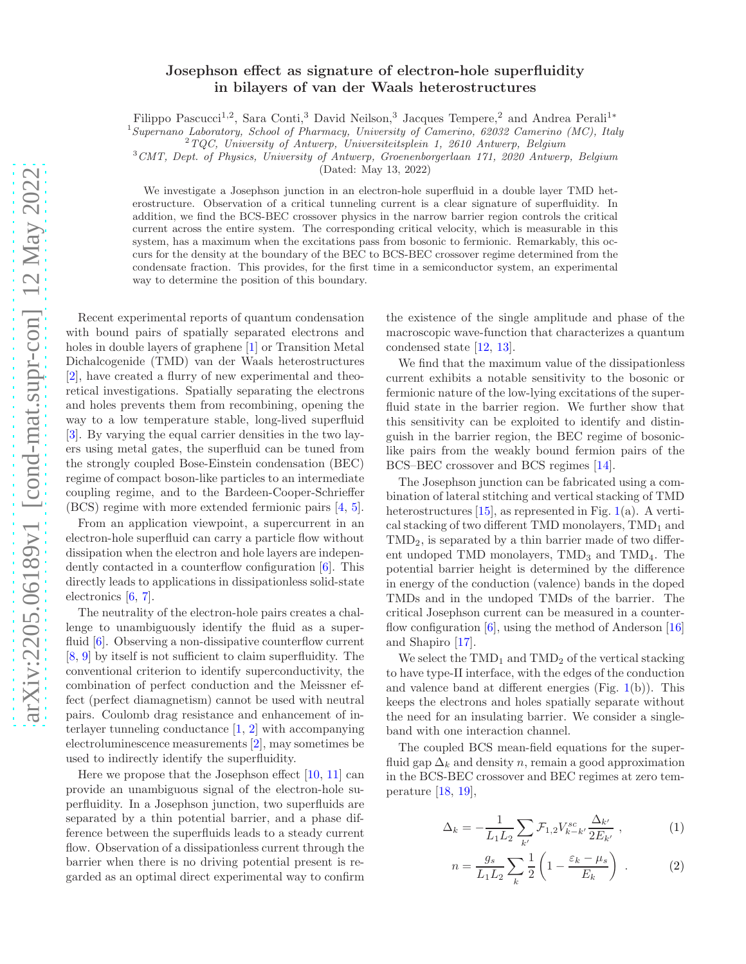## Josephson effect as signature of electron-hole superfluidity in bilayers of van der Waals heterostructures

Filippo Pascucci<sup>1,2</sup>, Sara Conti,<sup>3</sup> David Neilson,<sup>3</sup> Jacques Tempere,<sup>2</sup> and Andrea Perali<sup>1∗</sup>

<sup>1</sup>Supernano Laboratory, School of Pharmacy, University of Camerino, 62032 Camerino (MC), Italy

 $2TQC$ , University of Antwerp, Universiteitsplein 1, 2610 Antwerp, Belgium

<sup>3</sup>CMT, Dept. of Physics, University of Antwerp, Groenenborgerlaan 171, 2020 Antwerp, Belgium

(Dated: May 13, 2022)

We investigate a Josephson junction in an electron-hole superfluid in a double layer TMD heterostructure. Observation of a critical tunneling current is a clear signature of superfluidity. In addition, we find the BCS-BEC crossover physics in the narrow barrier region controls the critical current across the entire system. The corresponding critical velocity, which is measurable in this system, has a maximum when the excitations pass from bosonic to fermionic. Remarkably, this occurs for the density at the boundary of the BEC to BCS-BEC crossover regime determined from the condensate fraction. This provides, for the first time in a semiconductor system, an experimental way to determine the position of this boundary.

Recent experimental reports of quantum condensation with bound pairs of spatially separated electrons and holes in double layers of graphene [\[1](#page-4-0)] or Transition Metal Dichalcogenide (TMD) van der Waals heterostructures [\[2\]](#page-4-1), have created a flurry of new experimental and theoretical investigations. Spatially separating the electrons and holes prevents them from recombining, opening the way to a low temperature stable, long-lived superfluid [\[3\]](#page-4-2). By varying the equal carrier densities in the two layers using metal gates, the superfluid can be tuned from the strongly coupled Bose-Einstein condensation (BEC) regime of compact boson-like particles to an intermediate coupling regime, and to the Bardeen-Cooper-Schrieffer (BCS) regime with more extended fermionic pairs [\[4,](#page-4-3) [5\]](#page-4-4).

From an application viewpoint, a supercurrent in an electron-hole superfluid can carry a particle flow without dissipation when the electron and hole layers are independently contacted in a counterflow configuration [\[6\]](#page-4-5). This directly leads to applications in dissipationless solid-state electronics [\[6,](#page-4-5) [7\]](#page-4-6).

The neutrality of the electron-hole pairs creates a challenge to unambiguously identify the fluid as a super-fluid [\[6\]](#page-4-5). Observing a non-dissipative counterflow current [\[8,](#page-4-7) [9](#page-4-8)] by itself is not sufficient to claim superfluidity. The conventional criterion to identify superconductivity, the combination of perfect conduction and the Meissner effect (perfect diamagnetism) cannot be used with neutral pairs. Coulomb drag resistance and enhancement of interlayer tunneling conductance [\[1,](#page-4-0) [2](#page-4-1)] with accompanying electroluminescence measurements [\[2](#page-4-1)], may sometimes be used to indirectly identify the superfluidity.

Here we propose that the Josephson effect [\[10,](#page-4-9) [11](#page-4-10)] can provide an unambiguous signal of the electron-hole superfluidity. In a Josephson junction, two superfluids are separated by a thin potential barrier, and a phase difference between the superfluids leads to a steady current flow. Observation of a dissipationless current through the barrier when there is no driving potential present is regarded as an optimal direct experimental way to confirm

the existence of the single amplitude and phase of the macroscopic wave-function that characterizes a quantum condensed state [\[12,](#page-4-11) [13\]](#page-4-12).

We find that the maximum value of the dissipationless current exhibits a notable sensitivity to the bosonic or fermionic nature of the low-lying excitations of the superfluid state in the barrier region. We further show that this sensitivity can be exploited to identify and distinguish in the barrier region, the BEC regime of bosoniclike pairs from the weakly bound fermion pairs of the BCS–BEC crossover and BCS regimes [\[14\]](#page-4-13).

The Josephson junction can be fabricated using a combination of lateral stitching and vertical stacking of TMD heterostructures  $[15]$ , as represented in Fig. [1\(](#page-1-0)a). A vertical stacking of two different TMD monolayers,  $\text{TMD}_1$  and TMD2, is separated by a thin barrier made of two different undoped TMD monolayers,  $\text{TMD}_3$  and  $\text{TMD}_4$ . The potential barrier height is determined by the difference in energy of the conduction (valence) bands in the doped TMDs and in the undoped TMDs of the barrier. The critical Josephson current can be measured in a counterflow configuration  $[6]$ , using the method of Anderson  $[16]$ and Shapiro [\[17\]](#page-4-16).

We select the  $TMD_1$  and  $TMD_2$  of the vertical stacking to have type-II interface, with the edges of the conduction and valence band at different energies  $(Fig. 1(b))$  $(Fig. 1(b))$  $(Fig. 1(b))$ . This keeps the electrons and holes spatially separate without the need for an insulating barrier. We consider a singleband with one interaction channel.

The coupled BCS mean-field equations for the superfluid gap  $\Delta_k$  and density n, remain a good approximation in the BCS-BEC crossover and BEC regimes at zero temperature [\[18,](#page-4-17) [19\]](#page-4-18),

<span id="page-0-0"></span>
$$
\Delta_k = -\frac{1}{L_1 L_2} \sum_{k'} \mathcal{F}_{1,2} V_{k-k'}^{sc} \frac{\Delta_{k'}}{2E_{k'}}, \qquad (1)
$$

$$
n = \frac{g_s}{L_1 L_2} \sum_k \frac{1}{2} \left( 1 - \frac{\varepsilon_k - \mu_s}{E_k} \right) . \tag{2}
$$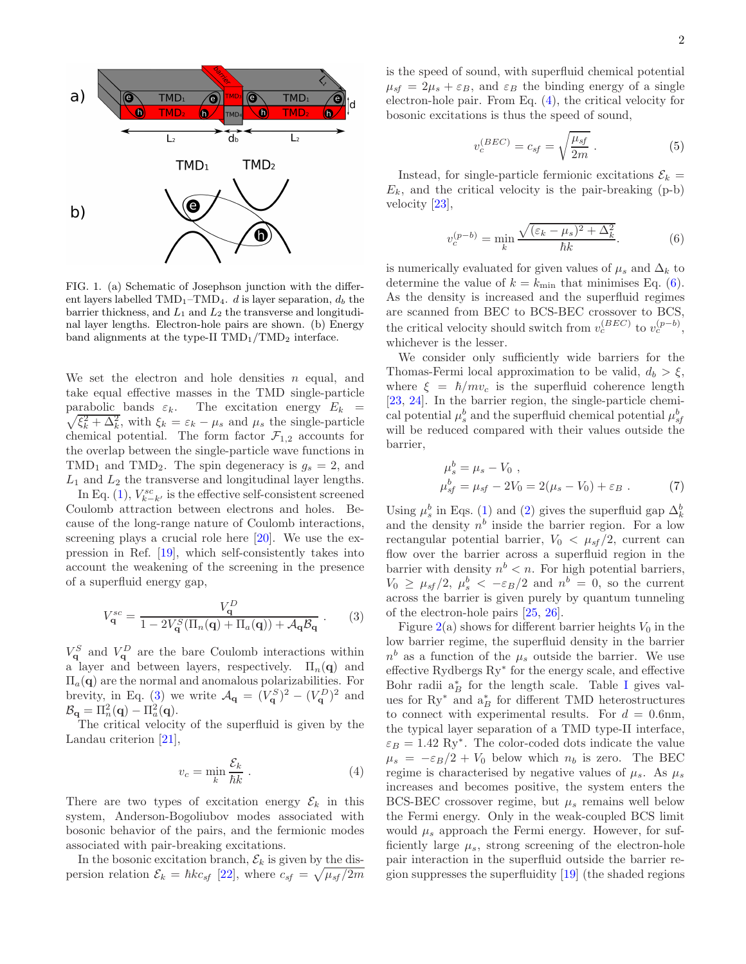

<span id="page-1-0"></span>FIG. 1. (a) Schematic of Josephson junction with the different layers labelled  $\text{TMD}_1-\text{TMD}_4$ . *d* is layer separation,  $d_b$  the barrier thickness, and  $L_1$  and  $L_2$  the transverse and longitudinal layer lengths. Electron-hole pairs are shown. (b) Energy band alignments at the type-II  $\text{TMD}_1/\text{TMD}_2$  interface.

We set the electron and hole densities  $n$  equal, and take equal effective masses in the TMD single-particle parabolic bands  $\varepsilon_k$ . The excitation energy  $E_k$  =  $\sqrt{\xi_k^2 + \Delta_k^2}$ , with  $\xi_k = \varepsilon_k - \mu_s$  and  $\mu_s$  the single-particle chemical potential. The form factor  $\mathcal{F}_{1,2}$  accounts for the overlap between the single-particle wave functions in  $TMD_1$  and  $TMD_2$ . The spin degeneracy is  $g_s = 2$ , and  $L_1$  and  $L_2$  the transverse and longitudinal layer lengths.

In Eq. [\(1\)](#page-0-0),  $V_{k-k'}^{sc}$  is the effective self-consistent screened Coulomb attraction between electrons and holes. Because of the long-range nature of Coulomb interactions, screening plays a crucial role here [\[20\]](#page-4-19). We use the expression in Ref. [\[19\]](#page-4-18), which self-consistently takes into account the weakening of the screening in the presence of a superfluid energy gap,

<span id="page-1-1"></span>
$$
V_{\mathbf{q}}^{sc} = \frac{V_{\mathbf{q}}^{D}}{1 - 2V_{\mathbf{q}}^{S}(\Pi_{n}(\mathbf{q}) + \Pi_{a}(\mathbf{q})) + \mathcal{A}_{\mathbf{q}}\mathcal{B}_{\mathbf{q}}}.
$$
 (3)

 $V^S_{\mathbf{q}}$  and  $V^D_{\mathbf{q}}$  are the bare Coulomb interactions within a layer and between layers, respectively.  $\Pi_n(q)$  and  $\Pi_a(\mathbf{q})$  are the normal and anomalous polarizabilities. For brevity, in Eq. [\(3\)](#page-1-1) we write  $\mathcal{A}_{\mathbf{q}} = (V_{\mathbf{q}}^S)^2 - (V_{\mathbf{q}}^D)^2$  and  $\mathcal{B}_{\mathbf{q}} = \Pi_n^2(\mathbf{q}) - \Pi_a^2(\mathbf{q}).$ 

The critical velocity of the superfluid is given by the Landau criterion [\[21\]](#page-4-20),

<span id="page-1-2"></span>
$$
v_c = \min_k \frac{\mathcal{E}_k}{\hbar k} \ . \tag{4}
$$

There are two types of excitation energy  $\mathcal{E}_k$  in this system, Anderson-Bogoliubov modes associated with bosonic behavior of the pairs, and the fermionic modes associated with pair-breaking excitations.

In the bosonic excitation branch,  $\mathcal{E}_k$  is given by the dispersion relation  $\mathcal{E}_k = \hbar k c_{sf}$  [\[22\]](#page-4-21), where  $c_{sf} = \sqrt{\mu_{sf}/2m}$  is the speed of sound, with superfluid chemical potential  $\mu_{sf} = 2\mu_s + \varepsilon_B$ , and  $\varepsilon_B$  the binding energy of a single electron-hole pair. From Eq. [\(4\)](#page-1-2), the critical velocity for bosonic excitations is thus the speed of sound,

<span id="page-1-4"></span>
$$
v_c^{(BEC)} = c_{sf} = \sqrt{\frac{\mu_{sf}}{2m}}.
$$
\n(5)

Instead, for single-particle fermionic excitations  $\mathcal{E}_k =$  $E_k$ , and the critical velocity is the pair-breaking  $(p-b)$ velocity [\[23\]](#page-4-22),

<span id="page-1-3"></span>
$$
v_c^{(p-b)} = \min_k \frac{\sqrt{(\varepsilon_k - \mu_s)^2 + \Delta_k^2}}{\hbar k}.
$$
 (6)

is numerically evaluated for given values of  $\mu_s$  and  $\Delta_k$  to determine the value of  $k = k_{\text{min}}$  that minimises Eq. [\(6\)](#page-1-3). As the density is increased and the superfluid regimes are scanned from BEC to BCS-BEC crossover to BCS, the critical velocity should switch from  $v_c^{(BEC)}$  to  $v_c^{(p-b)}$ , whichever is the lesser.

We consider only sufficiently wide barriers for the Thomas-Fermi local approximation to be valid,  $d_b > \xi$ , where  $\xi = \hbar/mv_c$  is the superfluid coherence length [\[23,](#page-4-22) [24\]](#page-4-23). In the barrier region, the single-particle chemical potential  $\mu_s^b$  and the superfluid chemical potential  $\mu_{sf}^b$ will be reduced compared with their values outside the barrier,

$$
\mu_{s}^{b} = \mu_{s} - V_{0} ,\n\mu_{s}^{b} = \mu_{s} - 2V_{0} = 2(\mu_{s} - V_{0}) + \varepsilon_{B} .
$$
\n(7)

Using  $\mu_s^b$  in Eqs. [\(1\)](#page-0-0) and [\(2\)](#page-0-0) gives the superfluid gap  $\Delta_k^b$ and the density  $n^b$  inside the barrier region. For a low rectangular potential barrier,  $V_0 < \mu_{sf}/2$ , current can flow over the barrier across a superfluid region in the barrier with density  $n^b < n$ . For high potential barriers,  $V_0 \geq \mu_{sf}/2$ ,  $\mu_s^b < -\varepsilon_B/2$  and  $n^b = 0$ , so the current across the barrier is given purely by quantum tunneling of the electron-hole pairs [\[25](#page-4-24), [26\]](#page-4-25).

Figure  $2(a)$  $2(a)$  shows for different barrier heights  $V_0$  in the low barrier regime, the superfluid density in the barrier  $n^b$  as a function of the  $\mu_s$  outside the barrier. We use effective Rydbergs Ry<sup>∗</sup> for the energy scale, and effective Bohr radii  $a_B^*$  for the length scale. Table [I](#page-2-1) gives values for  $Ry^*$  and  $a_B^*$  for different TMD heterostructures to connect with experimental results. For  $d = 0.6$ nm, the typical layer separation of a TMD type-II interface,  $\varepsilon_B = 1.42 \text{ Ry}^*$ . The color-coded dots indicate the value  $\mu_s = -\varepsilon_B/2 + V_0$  below which  $n_b$  is zero. The BEC regime is characterised by negative values of  $\mu_s$ . As  $\mu_s$ increases and becomes positive, the system enters the BCS-BEC crossover regime, but  $\mu_s$  remains well below the Fermi energy. Only in the weak-coupled BCS limit would  $\mu_s$  approach the Fermi energy. However, for sufficiently large  $\mu_s$ , strong screening of the electron-hole pair interaction in the superfluid outside the barrier region suppresses the superfluidity [\[19\]](#page-4-18) (the shaded regions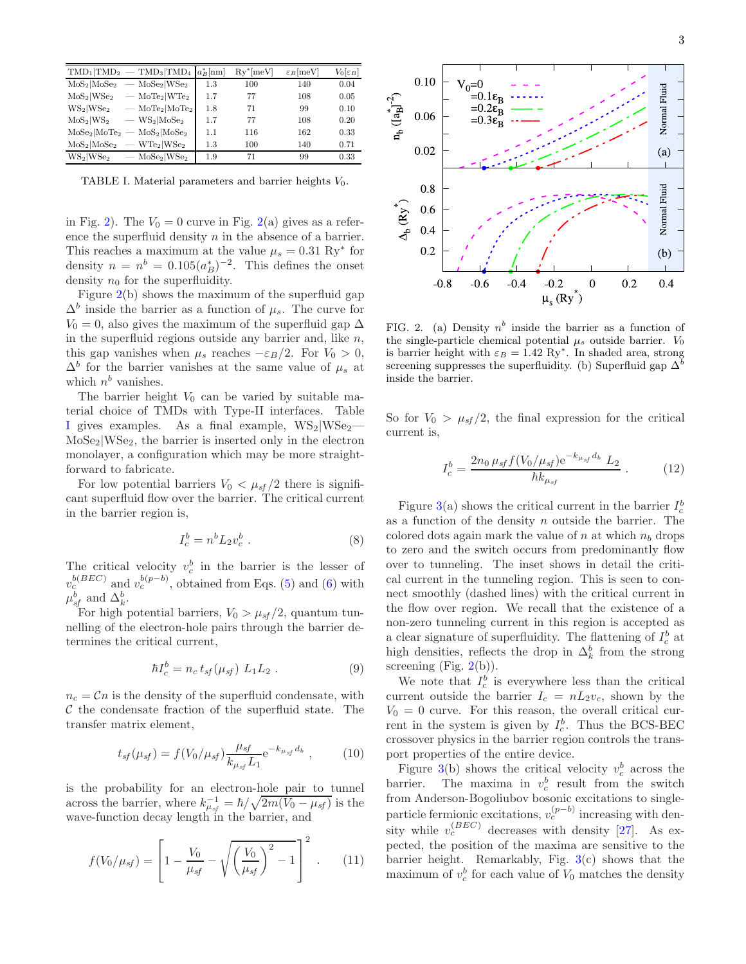|                                      | $\text{TMD}_1 \text{TMD}_2\rangle = \text{TMD}_3 \text{TMD}_4 a_B^* $ nm |     | $Ry^*$ [meV] | $\varepsilon_B$ [meV] | $V_0[\varepsilon_B]$ |
|--------------------------------------|--------------------------------------------------------------------------|-----|--------------|-----------------------|----------------------|
| $MoS_2 MoSe_2$                       | $MoSe_2 WSe_2$                                                           | 1.3 | 100          | 140                   | 0.04                 |
| $MoS_2 WSe_2$                        | $-$ MoTe <sub>2</sub> WTe <sub>2</sub>                                   | 1.7 | 77           | 108                   | 0.05                 |
| $WS_2 WS_{22}$                       | $-$ MoTe <sub>2</sub> MoTe <sub>2</sub>                                  | 1.8 | 71           | 99                    | 0.10                 |
| $MoS_2 WS_2$                         | $-$ WS <sub>2</sub>  MoSe <sub>2</sub>                                   | 1.7 | 77           | 108                   | 0.20                 |
| MoSe <sub>2</sub>  MoTe <sub>2</sub> | $MoS_2 MoSe_2$                                                           | 1.1 | 116          | 162                   | 0.33                 |
| $MoS_2 MoSe_2$                       | $-$ WTe <sub>2</sub> WSe <sub>2</sub>                                    | 1.3 | 100          | 140                   | 0.71                 |
| $WS_2 WS_{22}$                       | $-$ MoSe <sub>2</sub>  WSe <sub>2</sub>                                  | 1.9 | 71           | 99                    | 0.33                 |

<span id="page-2-1"></span>TABLE I. Material parameters and barrier heights  $V_0$ .

in Fig. [2\)](#page-2-0). The  $V_0 = 0$  curve in Fig. [2\(](#page-2-0)a) gives as a reference the superfluid density  $n$  in the absence of a barrier. This reaches a maximum at the value  $\mu_s = 0.31 \text{ Ry}^*$  for density  $n = n^b = 0.105(a_B^*)^{-2}$ . This defines the onset density  $n_0$  for the superfluidity.

Figure [2\(](#page-2-0)b) shows the maximum of the superfluid gap  $\Delta^b$  inside the barrier as a function of  $\mu_s$ . The curve for  $V_0 = 0$ , also gives the maximum of the superfluid gap  $\Delta$ in the superfluid regions outside any barrier and, like  $n$ , this gap vanishes when  $\mu_s$  reaches  $-\varepsilon_B/2$ . For  $V_0 > 0$ ,  $\Delta^b$  for the barrier vanishes at the same value of  $\mu_s$  at which  $n^b$  vanishes.

The barrier height  $V_0$  can be varied by suitable material choice of TMDs with Type-II interfaces. Table [I](#page-2-1) gives examples. As a final example,  $WS_2|WS_2 MoSe<sub>2</sub>|WSe<sub>2</sub>$ , the barrier is inserted only in the electron monolayer, a configuration which may be more straightforward to fabricate.

For low potential barriers  $V_0 < \mu_{sf}/2$  there is significant superfluid flow over the barrier. The critical current in the barrier region is,

$$
I_c^b = n^b L_2 v_c^b \tag{8}
$$

The critical velocity  $v_c^b$  in the barrier is the lesser of  $v_c^{b(BEC)}$  and  $v_c^{b(p-b)}$ , obtained from Eqs. [\(5\)](#page-1-4) and [\(6\)](#page-1-3) with  $\mu_{sf}^b$  and  $\Delta_k^b$ .

For high potential barriers,  $V_0 > \mu_{sf}/2$ , quantum tunnelling of the electron-hole pairs through the barrier determines the critical current,

$$
\hbar I_c^b = n_c \, t_{sf}(\mu_{sf}) \, L_1 L_2 \,. \tag{9}
$$

 $n_c = Cn$  is the density of the superfluid condensate, with  $\mathcal C$  the condensate fraction of the superfluid state. The transfer matrix element,

$$
t_{sf}(\mu_{sf}) = f(V_0/\mu_{sf}) \frac{\mu_{sf}}{k_{\mu_{sf}} L_1} e^{-k_{\mu_{sf}} d_b}, \qquad (10)
$$

is the probability for an electron-hole pair to tunnel across the barrier, where  $k_{\mu_{sf}}^{-1} = \hbar / \sqrt{2m(V_0 - \mu_{sf})}$  is the wave-function decay length in the barrier, and

$$
f(V_0/\mu_{sf}) = \left[1 - \frac{V_0}{\mu_{sf}} - \sqrt{\left(\frac{V_0}{\mu_{sf}}\right)^2 - 1}\right]^2.
$$
 (11)



<span id="page-2-0"></span>FIG. 2. (a) Density  $n^b$  inside the barrier as a function of the single-particle chemical potential  $\mu_s$  outside barrier.  $V_0$ is barrier height with  $\varepsilon_B = 1.42 \text{ Ry}^*$ . In shaded area, strong screening suppresses the superfluidity. (b) Superfluid gap  $\Delta^b$ inside the barrier.

So for  $V_0 > \mu_{sf}/2$ , the final expression for the critical current is,

$$
I_c^b = \frac{2n_0 \,\mu_{sf} f(V_0/\mu_{sf}) e^{-k_{\mu_{sf}} d_b} L_2}{\hbar k_{\mu_{sf}}} \,. \tag{12}
$$

Figure [3\(](#page-3-0)a) shows the critical current in the barrier  $I_c^b$ as a function of the density  $n$  outside the barrier. The colored dots again mark the value of n at which  $n_b$  drops to zero and the switch occurs from predominantly flow over to tunneling. The inset shows in detail the critical current in the tunneling region. This is seen to connect smoothly (dashed lines) with the critical current in the flow over region. We recall that the existence of a non-zero tunneling current in this region is accepted as a clear signature of superfluidity. The flattening of  $I_c^b$  at high densities, reflects the drop in  $\Delta_k^b$  from the strong screening (Fig.  $2(b)$  $2(b)$ ).

We note that  $I_c^b$  is everywhere less than the critical current outside the barrier  $I_c = nL_2v_c$ , shown by the  $V_0 = 0$  curve. For this reason, the overall critical current in the system is given by  $I_c^b$ . Thus the BCS-BEC crossover physics in the barrier region controls the transport properties of the entire device.

Figure [3\(](#page-3-0)b) shows the critical velocity  $v_c^b$  across the barrier. The maxima in  $v_c^b$  result from the switch from Anderson-Bogoliubov bosonic excitations to singleparticle fermionic excitations,  $v_c^{(p-b)}$  increasing with density while  $v_c^{(BEC)}$  decreases with density [\[27](#page-4-26)]. As expected, the position of the maxima are sensitive to the barrier height. Remarkably, Fig. [3\(](#page-3-0)c) shows that the maximum of  $v_c^b$  for each value of  $V_0$  matches the density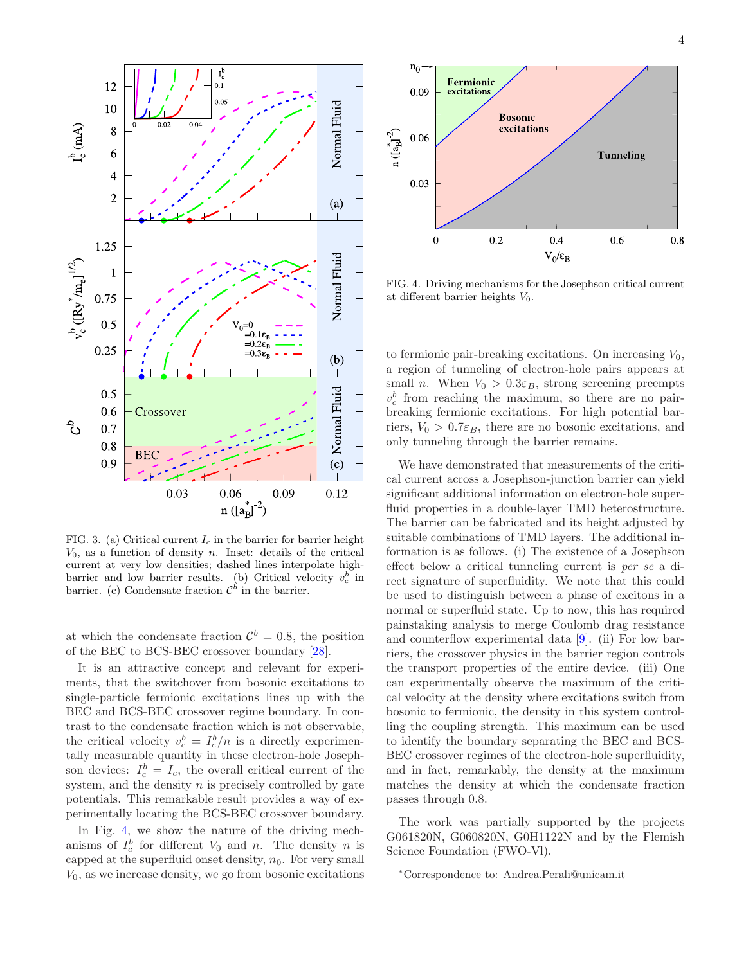

<span id="page-3-0"></span>FIG. 3. (a) Critical current  $I_c$  in the barrier for barrier height  $V_0$ , as a function of density *n*. Inset: details of the critical current at very low densities; dashed lines interpolate highbarrier and low barrier results. (b) Critical velocity  $v_c^b$  in barrier. (c) Condensate fraction  $\mathcal{C}^{\hat{b}}$  in the barrier.

at which the condensate fraction  $\mathcal{C}^b = 0.8$ , the position of the BEC to BCS-BEC crossover boundary [\[28\]](#page-4-27).

It is an attractive concept and relevant for experiments, that the switchover from bosonic excitations to single-particle fermionic excitations lines up with the BEC and BCS-BEC crossover regime boundary. In contrast to the condensate fraction which is not observable, the critical velocity  $v_c^b = I_c^b/n$  is a directly experimentally measurable quantity in these electron-hole Josephson devices:  $I_c^b = I_c$ , the overall critical current of the system, and the density  $n$  is precisely controlled by gate potentials. This remarkable result provides a way of experimentally locating the BCS-BEC crossover boundary.

In Fig. [4,](#page-3-1) we show the nature of the driving mechanisms of  $I_c^b$  for different  $V_0$  and n. The density n is capped at the superfluid onset density,  $n_0$ . For very small  $V_0$ , as we increase density, we go from bosonic excitations



<span id="page-3-1"></span>FIG. 4. Driving mechanisms for the Josephson critical current at different barrier heights  $V_0$ .

to fermionic pair-breaking excitations. On increasing  $V_0$ , a region of tunneling of electron-hole pairs appears at small *n*. When  $V_0 > 0.3\varepsilon_B$ , strong screening preempts  $v_c^b$  from reaching the maximum, so there are no pairbreaking fermionic excitations. For high potential barriers,  $V_0 > 0.7\varepsilon_B$ , there are no bosonic excitations, and only tunneling through the barrier remains.

We have demonstrated that measurements of the critical current across a Josephson-junction barrier can yield significant additional information on electron-hole superfluid properties in a double-layer TMD heterostructure. The barrier can be fabricated and its height adjusted by suitable combinations of TMD layers. The additional information is as follows. (i) The existence of a Josephson effect below a critical tunneling current is per se a direct signature of superfluidity. We note that this could be used to distinguish between a phase of excitons in a normal or superfluid state. Up to now, this has required painstaking analysis to merge Coulomb drag resistance and counterflow experimental data [\[9](#page-4-8)]. (ii) For low barriers, the crossover physics in the barrier region controls the transport properties of the entire device. (iii) One can experimentally observe the maximum of the critical velocity at the density where excitations switch from bosonic to fermionic, the density in this system controlling the coupling strength. This maximum can be used to identify the boundary separating the BEC and BCS-BEC crossover regimes of the electron-hole superfluidity, and in fact, remarkably, the density at the maximum matches the density at which the condensate fraction passes through 0.8.

The work was partially supported by the projects G061820N, G060820N, G0H1122N and by the Flemish Science Foundation (FWO-Vl).

<sup>∗</sup>Correspondence to: Andrea.Perali@unicam.it